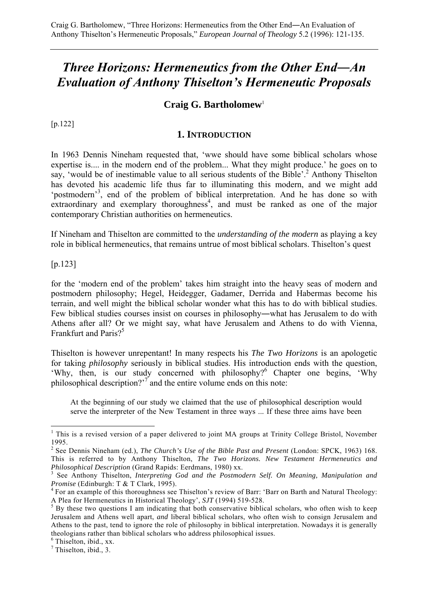# *Three Horizons: Hermeneutics from the Other End―An Evaluation of Anthony Thiselton's Hermeneutic Proposals*

## **Craig G. Bartholomew**<sup>1</sup>

[p.122]

#### **1. INTRODUCTION**

In 1963 Dennis Nineham requested that, 'wwe should have some biblical scholars whose expertise is.... in the modern end of the problem... What they might produce.' he goes on to say, 'would be of inestimable value to all serious students of the Bible'.<sup>2</sup> Anthony Thiselton has devoted his academic life thus far to illuminating this modern, and we might add 'postmodern'<sup>3</sup>, end of the problem of biblical interpretation. And he has done so with  $extraordinary$  and exemplary thoroughness<sup>4</sup>, and must be ranked as one of the major contemporary Christian authorities on hermeneutics.

If Nineham and Thiselton are committed to the *understanding of the modern* as playing a key role in biblical hermeneutics, that remains untrue of most biblical scholars. Thiselton's quest

[p.123]

 $\overline{a}$ 

for the 'modern end of the problem' takes him straight into the heavy seas of modern and postmodern philosophy; Hegel, Heidegger, Gadamer, Derrida and Habermas become his terrain, and well might the biblical scholar wonder what this has to do with biblical studies. Few biblical studies courses insist on courses in philosophy―what has Jerusalem to do with Athens after all? Or we might say, what have Jerusalem and Athens to do with Vienna, Frankfurt and Paris?<sup>5</sup>

Thiselton is however unrepentant! In many respects his *The Two Horizons* is an apologetic for taking *philosophy* seriously in biblical studies. His introduction ends with the question, 'Why, then, is our study concerned with philosophy?<sup>6</sup> Chapter one begins, 'Why philosophical description?<sup>77</sup> and the entire volume ends on this note:

At the beginning of our study we claimed that the use of philosophical description would serve the interpreter of the New Testament in three ways ... If these three aims have been

<sup>&</sup>lt;sup>1</sup> This is a revised version of a paper delivered to joint MA groups at Trinity College Bristol, November 1995.

<sup>&</sup>lt;sup>2</sup> See Dennis Nineham (ed.), *The Church's Use of the Bible Past and Present* (London: SPCK, 1963) 168. This is referred to by Anthony Thiselton, *The Two Horizons. New Testament Hermeneutics and Philosophical Description* (Grand Rapids: Eerdmans, 1980) xx. 3

<sup>&</sup>lt;sup>3</sup> See Anthony Thiselton, *Interpreting God and the Postmodern Self. On Meaning, Manipulation and Promise* (Edinburgh: T & T Clark, 1995).

<sup>&</sup>lt;sup>4</sup> For an example of this thoroughness see Thiselton's review of Barr: 'Barr on Barth and Natural Theology: A Plea for Hermeneutics in Historical Theology',  $SJT$  (1994) 519-528. A Plea for Hermeneutics in Historical Theology', *SJT* (1994) 519-528.<br><sup>5</sup> By these two questions I am indicating that both conservative biblical scholars, who often wish to keep

Jerusalem and Athens well apart, *and* liberal biblical scholars, who often wish to consign Jerusalem and Athens to the past, tend to ignore the role of philosophy in biblical interpretation. Nowadays it is generally theologians rather than biblical scholars who address philosophical issues.

<sup>6</sup> Thiselton, ibid., xx.

 $<sup>7</sup>$  Thiselton, ibid., 3.</sup>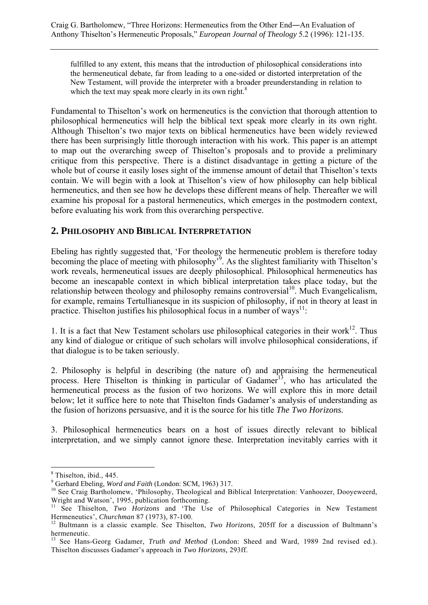fulfilled to any extent, this means that the introduction of philosophical considerations into the hermeneutical debate, far from leading to a one-sided or distorted interpretation of the New Testament, will provide the interpreter with a broader preunderstanding in relation to which the text may speak more clearly in its own right. $8$ 

Fundamental to Thiselton's work on hermeneutics is the conviction that thorough attention to philosophical hermeneutics will help the biblical text speak more clearly in its own right. Although Thiselton's two major texts on biblical hermeneutics have been widely reviewed there has been surprisingly little thorough interaction with his work. This paper is an attempt to map out the overarching sweep of Thiselton's proposals and to provide a preliminary critique from this perspective. There is a distinct disadvantage in getting a picture of the whole but of course it easily loses sight of the immense amount of detail that Thiselton's texts contain. We will begin with a look at Thiselton's view of how philosophy can help biblical hermeneutics, and then see how he develops these different means of help. Thereafter we will examine his proposal for a pastoral hermeneutics, which emerges in the postmodern context, before evaluating his work from this overarching perspective.

## **2. PHILOSOPHY AND BIBLICAL INTERPRETATION**

Ebeling has rightly suggested that, 'For theology the hermeneutic problem is therefore today becoming the place of meeting with philosophy<sup>39</sup>. As the slightest familiarity with Thiselton's work reveals, hermeneutical issues are deeply philosophical. Philosophical hermeneutics has become an inescapable context in which biblical interpretation takes place today, but the relationship between theology and philosophy remains controversial<sup>10</sup>. Much Evangelicalism, for example, remains Tertullianesque in its suspicion of philosophy, if not in theory at least in practice. Thiselton justifies his philosophical focus in a number of ways<sup>11</sup>:

1. It is a fact that New Testament scholars use philosophical categories in their work $^{12}$ . Thus any kind of dialogue or critique of such scholars will involve philosophical considerations, if that dialogue is to be taken seriously.

2. Philosophy is helpful in describing (the nature of) and appraising the hermeneutical process. Here Thiselton is thinking in particular of Gadamer<sup>13</sup>, who has articulated the hermeneutical process as the fusion of two horizons. We will explore this in more detail below; let it suffice here to note that Thiselton finds Gadamer's analysis of understanding as the fusion of horizons persuasive, and it is the source for his title *The Two Horizons.* 

3. Philosophical hermeneutics bears on a host of issues directly relevant to biblical interpretation, and we simply cannot ignore these. Interpretation inevitably carries with it

<sup>8</sup> Thiselton, ibid., 445.

<sup>&</sup>lt;sup>9</sup> Gerhard Ebeling, Word and Faith (London: SCM, 1963) 317.

<sup>&</sup>lt;sup>10</sup> See Craig Bartholomew, 'Philosophy, Theological and Biblical Interpretation: Vanhoozer, Dooyeweerd, Wright and Watson', 1995, publication forthcoming.

<sup>&</sup>lt;sup>11</sup> See Thiselton, *Two Horizons* and 'The Use of Philosophical Categories in New Testament Hermeneutics', *Churchman 87* (1973), 87-100.<br><sup>12</sup> Bultmann is a classic example. See Thiselton, *Two Horizons*, 205ff for a discussion of Bultmann's

hermeneutic.

<sup>13</sup> See Hans-Georg Gadamer, *Truth and Method* (London: Sheed and Ward, 1989 2nd revised ed.). Thiselton discusses Gadamer's approach in *Two Horizons,* 293ff.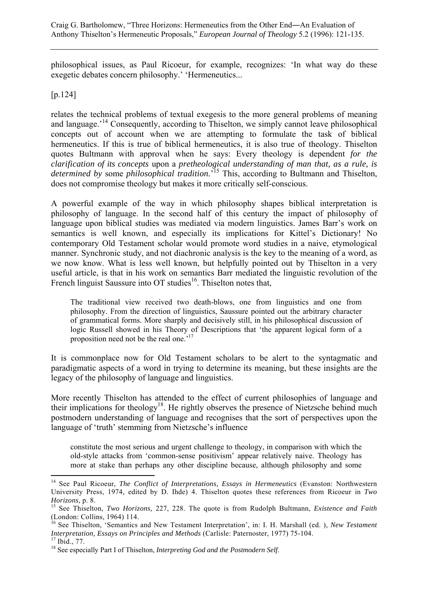philosophical issues, as Paul Ricoeur, for example, recognizes: 'In what way do these exegetic debates concern philosophy.' 'Hermeneutics...

[p.124]

 $\overline{a}$ 

relates the technical problems of textual exegesis to the more general problems of meaning and language.<sup>14</sup> Consequently, according to Thiselton, we simply cannot leave philosophical concepts out of account when we are attempting to formulate the task of biblical hermeneutics. If this is true of biblical hermeneutics, it is also true of theology. Thiselton quotes Bultmann with approval when he says: Every theology is dependent *for the clarification of its concepts* upon a *pretheological understanding of man that, as a rule, is determined by* some *philosophical tradition.*' <sup>15</sup> This, according to Bultmann and Thiselton, does not compromise theology but makes it more critically self-conscious.

A powerful example of the way in which philosophy shapes biblical interpretation is philosophy of language. In the second half of this century the impact of philosophy of language upon biblical studies was mediated via modern linguistics. James Barr's work on semantics is well known, and especially its implications for Kittel's Dictionary! No contemporary Old Testament scholar would promote word studies in a naive, etymological manner. Synchronic study, and not diachronic analysis is the key to the meaning of a word, as we now know. What is less well known, but helpfully pointed out by Thiselton in a very useful article, is that in his work on semantics Barr mediated the linguistic revolution of the French linguist Saussure into OT studies<sup>16</sup>. Thiselton notes that,

The traditional view received two death-blows, one from linguistics and one from philosophy. From the direction of linguistics, Saussure pointed out the arbitrary character of grammatical forms. More sharply and decisively still, in his philosophical discussion of logic Russell showed in his Theory of Descriptions that 'the apparent logical form of a proposition need not be the real one.<sup>'17</sup>

It is commonplace now for Old Testament scholars to be alert to the syntagmatic and paradigmatic aspects of a word in trying to determine its meaning, but these insights are the legacy of the philosophy of language and linguistics.

More recently Thiselton has attended to the effect of current philosophies of language and their implications for theology18. He rightly observes the presence of Nietzsche behind much postmodern understanding of language and recognises that the sort of perspectives upon the language of 'truth' stemming from Nietzsche's influence

constitute the most serious and urgent challenge to theology, in comparison with which the old-style attacks from 'common-sense positivism' appear relatively naive. Theology has more at stake than perhaps any other discipline because, although philosophy and some

<sup>&</sup>lt;sup>14</sup> See Paul Ricoeur, *The Conflict of Interpretations, Essays in Hermeneutics* (Evanston: Northwestern University Press, 1974, edited by D. Ihde) 4. Thiselton quotes these references from Ricoeur in *Two* 

*Horizons*, p. 8.<br><sup>15</sup> See Thiselton, *Two Horizons*, 227, 228. The quote is from Rudolph Bultmann, *Existence and Faith* (London: Collins, 1964) 114.

<sup>&</sup>lt;sup>5</sup> See Thiselton, 'Semantics and New Testament Interpretation', in: I. H. Marshall (ed. ), *New Testament Interpretation, Essays on Principles and Methods* (Carlisle: Paternoster, 1977) 75-104. 17 Ibid., 77.

<sup>18</sup> See especially Part I of Thiselton, *Interpreting God and the Postmodern Self*.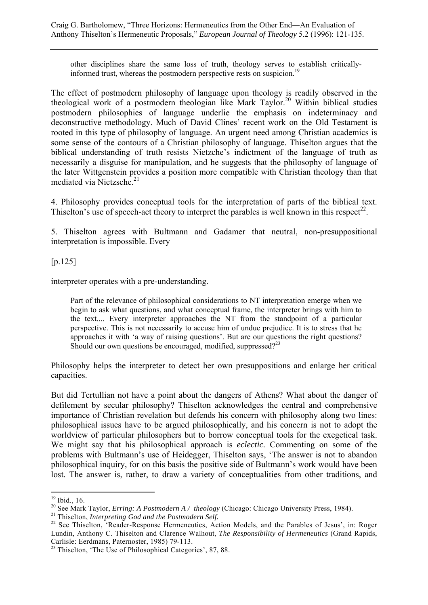other disciplines share the same loss of truth, theology serves to establish criticallyinformed trust, whereas the postmodern perspective rests on suspicion.<sup>1</sup>

The effect of postmodern philosophy of language upon theology is readily observed in the theological work of a postmodern theologian like Mark Taylor.<sup>20</sup> Within biblical studies postmodern philosophies of language underlie the emphasis on indeterminacy and deconstructive methodology. Much of David Clines' recent work on the Old Testament is rooted in this type of philosophy of language. An urgent need among Christian academics is some sense of the contours of a Christian philosophy of language. Thiselton argues that the biblical understanding of truth resists Nietzche's indictment of the language of truth as necessarily a disguise for manipulation, and he suggests that the philosophy of language of the later Wittgenstein provides a position more compatible with Christian theology than that mediated via Nietzsche.<sup>21</sup>

4. Philosophy provides conceptual tools for the interpretation of parts of the biblical text. Thiselton's use of speech-act theory to interpret the parables is well known in this respect<sup>22</sup>.

5. Thiselton agrees with Bultmann and Gadamer that neutral, non-presuppositional interpretation is impossible. Every

[p.125]

interpreter operates with a pre-understanding.

Part of the relevance of philosophical considerations to NT interpretation emerge when we begin to ask what questions, and what conceptual frame, the interpreter brings with him to the text.... Every interpreter approaches the NT from the standpoint of a particular perspective. This is not necessarily to accuse him of undue prejudice. It is to stress that he approaches it with 'a way of raising questions'. But are our questions the right questions? Should our own questions be encouraged, modified, suppressed? $2^{23}$ 

Philosophy helps the interpreter to detect her own presuppositions and enlarge her critical capacities.

But did Tertullian not have a point about the dangers of Athens? What about the danger of defilement by secular philosophy? Thiselton acknowledges the central and comprehensive importance of Christian revelation but defends his concern with philosophy along two lines: philosophical issues have to be argued philosophically, and his concern is not to adopt the worldview of particular philosophers but to borrow conceptual tools for the exegetical task. We might say that his philosophical approach is *eclectic.* Commenting on some of the problems with Bultmann's use of Heidegger, Thiselton says, 'The answer is not to abandon philosophical inquiry, for on this basis the positive side of Bultmann's work would have been lost. The answer is, rather, to draw a variety of conceptualities from other traditions, and

 $19$  Ibid., 16.

<sup>&</sup>lt;sup>20</sup> See Mark Taylor, *Erring: A Postmodern A / theology* (Chicago: Chicago University Press, 1984).<br><sup>21</sup> Thiselton, *Interpreting God and the Postmodern Self.*<br><sup>22</sup> See Thiselton, 'Reader-Response Hermeneutics, Action Mod Lundin, Anthony C. Thiselton and Clarence Walhout, *The Responsibility of Hermeneutics* (Grand Rapids, Carlisle: Eerdmans, Paternoster, 1985) 79-113.

<sup>&</sup>lt;sup>23</sup> Thiselton, 'The Use of Philosophical Categories', 87, 88.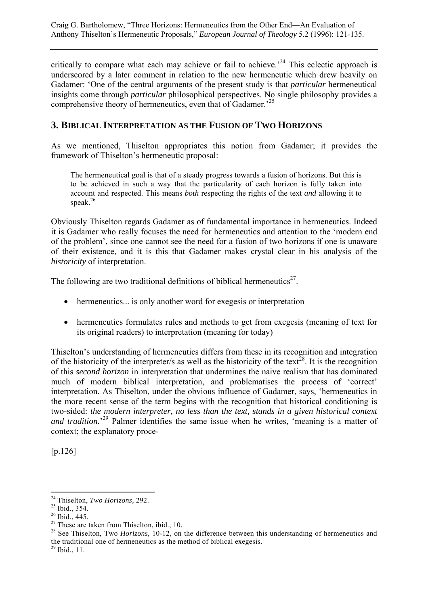critically to compare what each may achieve or fail to achieve.<sup> $24$ </sup> This eclectic approach is underscored by a later comment in relation to the new hermeneutic which drew heavily on Gadamer: 'One of the central arguments of the present study is that *particular* hermeneutical insights come through *particular* philosophical perspectives. No single philosophy provides a comprehensive theory of hermeneutics, even that of Gadamer.<sup>25</sup>

# **3. BIBLICAL INTERPRETATION AS THE FUSION OF TWO HORIZONS**

As we mentioned, Thiselton appropriates this notion from Gadamer; it provides the framework of Thiselton's hermeneutic proposal:

The hermeneutical goal is that of a steady progress towards a fusion of horizons. But this is to be achieved in such a way that the particularity of each horizon is fully taken into account and respected. This means *both* respecting the rights of the text *and* allowing it to speak $^{26}$ 

Obviously Thiselton regards Gadamer as of fundamental importance in hermeneutics. Indeed it is Gadamer who really focuses the need for hermeneutics and attention to the 'modern end of the problem', since one cannot see the need for a fusion of two horizons if one is unaware of their existence, and it is this that Gadamer makes crystal clear in his analysis of the *historicity* of interpretation.

The following are two traditional definitions of biblical hermeneutics<sup>27</sup>.

- hermeneutics... is only another word for exegesis or interpretation
- hermeneutics formulates rules and methods to get from exegesis (meaning of text for its original readers) to interpretation (meaning for today)

Thiselton's understanding of hermeneutics differs from these in its recognition and integration of the historicity of the interpreter/s as well as the historicity of the text<sup>28</sup>. It is the recognition of this *second horizon* in interpretation that undermines the naive realism that has dominated much of modern biblical interpretation, and problematises the process of 'correct' interpretation. As Thiselton, under the obvious influence of Gadamer, says, 'hermeneutics in the more recent sense of the term begins with the recognition that historical conditioning is two-sided: *the modern interpreter, no less than the text, stands in a given historical context*  and tradition.<sup>29</sup> Palmer identifies the same issue when he writes, 'meaning is a matter of context; the explanatory proce-

[p.126]

 $\overline{a}$ 24 Thiselton, *Two Horizons,* 292. 25 Ibid., 354.

 $26$  Ibid., 445.

 $^{27}$  These are taken from Thiselton, ibid., 10.

<sup>&</sup>lt;sup>28</sup> See Thiselton, Two *Horizons*, 10-12, on the difference between this understanding of hermeneutics and the traditional one of hermeneutics as the method of biblical exegesis.

 $^{29}$  Ibid., 11.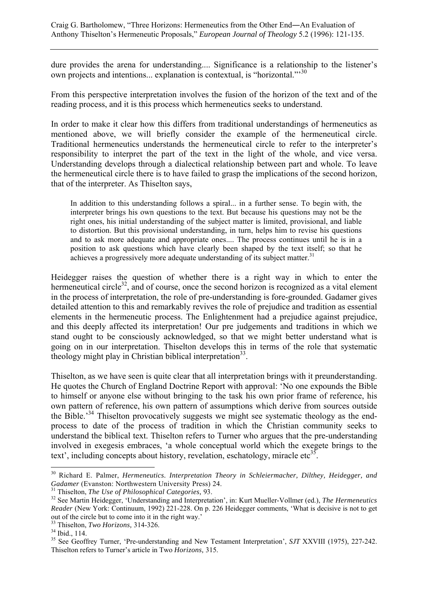dure provides the arena for understanding.... Significance is a relationship to the listener's own projects and intentions... explanation is contextual, is "horizontal."<sup>30</sup>

From this perspective interpretation involves the fusion of the horizon of the text and of the reading process, and it is this process which hermeneutics seeks to understand.

In order to make it clear how this differs from traditional understandings of hermeneutics as mentioned above, we will briefly consider the example of the hermeneutical circle. Traditional hermeneutics understands the hermeneutical circle to refer to the interpreter's responsibility to interpret the part of the text in the light of the whole, and vice versa. Understanding develops through a dialectical relationship between part and whole. To leave the hermeneutical circle there is to have failed to grasp the implications of the second horizon, that of the interpreter. As Thiselton says,

In addition to this understanding follows a spiral... in a further sense. To begin with, the interpreter brings his own questions to the text. But because his questions may not be the right ones, his initial understanding of the subject matter is limited, provisional, and liable to distortion. But this provisional understanding, in turn, helps him to revise his questions and to ask more adequate and appropriate ones.... The process continues until he is in a position to ask questions which have clearly been shaped by the text itself; so that he achieves a progressively more adequate understanding of its subject matter.<sup>31</sup>

Heidegger raises the question of whether there is a right way in which to enter the hermeneutical circle<sup>32</sup>, and of course, once the second horizon is recognized as a vital element in the process of interpretation, the role of pre-understanding is fore-grounded. Gadamer gives detailed attention to this and remarkably revives the role of prejudice and tradition as essential elements in the hermeneutic process. The Enlightenment had a prejudice against prejudice, and this deeply affected its interpretation! Our pre judgements and traditions in which we stand ought to be consciously acknowledged, so that we might better understand what is going on in our interpretation. Thiselton develops this in terms of the role that systematic theology might play in Christian biblical interpretation<sup>33</sup>.

Thiselton, as we have seen is quite clear that all interpretation brings with it preunderstanding. He quotes the Church of England Doctrine Report with approval: 'No one expounds the Bible to himself or anyone else without bringing to the task his own prior frame of reference, his own pattern of reference, his own pattern of assumptions which derive from sources outside the Bible.'34 Thiselton provocatively suggests we might see systematic theology as the endprocess to date of the process of tradition in which the Christian community seeks to understand the biblical text. Thiselton refers to Turner who argues that the pre-understanding involved in exegesis embraces, 'a whole conceptual world which the exegete brings to the text', including concepts about history, revelation, eschatology, miracle etc<sup>35</sup>.

<sup>&</sup>lt;sup>30</sup> Richard E. Palmer, *Hermeneutics. Interpretation Theory in Schleiermacher, Dilthey, Heidegger, and Gadamer (Evanston: Northwestern University Press) 24.* 

 $31$  Thiselton, *The Use of Philosophical Categories*, 93.<br> $32$  See Martin Heidegger, 'Understanding and Interpretation', in: Kurt Mueller-Vollmer (ed.), *The Hermeneutics Reader* (New York: Continuum, 1992) 221-228. On p. 226 Heidegger comments, 'What is decisive is not to get out of the circle but to come into it in the right way.'

<sup>&</sup>lt;sup>33</sup> Thiselton, *Two Horizons*, 314-326.<br><sup>34</sup> Ibid., 114.

<sup>&</sup>lt;sup>35</sup> See Geoffrey Turner, 'Pre-understanding and New Testament Interpretation', *SJT* XXVIII (1975), 227-242. Thiselton refers to Turner's article in Two *Horizons,* 315.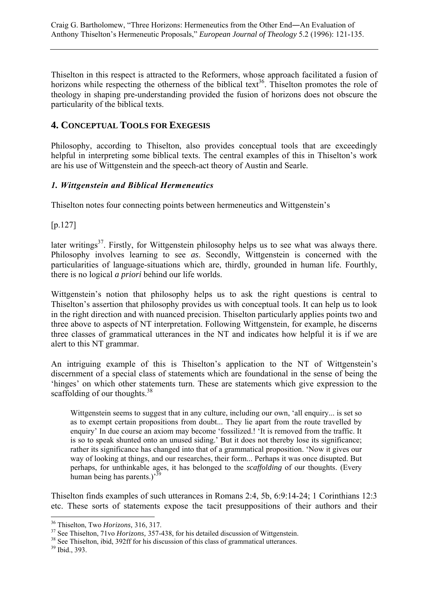Thiselton in this respect is attracted to the Reformers, whose approach facilitated a fusion of horizons while respecting the otherness of the biblical text<sup>36</sup>. Thiselton promotes the role of theology in shaping pre-understanding provided the fusion of horizons does not obscure the particularity of the biblical texts.

# **4. CONCEPTUAL TOOLS FOR EXEGESIS**

Philosophy, according to Thiselton, also provides conceptual tools that are exceedingly helpful in interpreting some biblical texts. The central examples of this in Thiselton's work are his use of Wittgenstein and the speech-act theory of Austin and Searle.

## *1. Wittgenstein and Biblical Hermeneutics*

Thiselton notes four connecting points between hermeneutics and Wittgenstein's

[p.127]

later writings<sup>37</sup>. Firstly, for Wittgenstein philosophy helps us to see what was always there. Philosophy involves learning to see *as*. Secondly, Wittgenstein is concerned with the particularities of language-situations which are, thirdly, grounded in human life. Fourthly, there is no logical *a priori* behind our life worlds.

Wittgenstein's notion that philosophy helps us to ask the right questions is central to Thiselton's assertion that philosophy provides us with conceptual tools. It can help us to look in the right direction and with nuanced precision. Thiselton particularly applies points two and three above to aspects of NT interpretation. Following Wittgenstein, for example, he discerns three classes of grammatical utterances in the NT and indicates how helpful it is if we are alert to this NT grammar.

An intriguing example of this is Thiselton's application to the NT of Wittgenstein's discernment of a special class of statements which are foundational in the sense of being the 'hinges' on which other statements turn. These are statements which give expression to the scaffolding of our thoughts.<sup>38</sup>

Wittgenstein seems to suggest that in any culture, including our own, 'all enquiry... is set so as to exempt certain propositions from doubt... They lie apart from the route travelled by enquiry' In due course an axiom may become 'fossilized.! 'It is removed from the traffic. It is so to speak shunted onto an unused siding.' But it does not thereby lose its significance; rather its significance has changed into that of a grammatical proposition. 'Now it gives our way of looking at things, and our researches, their form... Perhaps it was once disupted. But perhaps, for unthinkable ages, it has belonged to the *scaffolding* of our thoughts. (Every human being has parents.)<sup>33</sup>

Thiselton finds examples of such utterances in Romans 2:4, 5b, 6:9:14-24; 1 Corinthians 12:3 etc. These sorts of statements expose the tacit presuppositions of their authors and their

<sup>&</sup>lt;sup>36</sup> Thiselton, Two *Horizons*, 316, 317.

 $37$  See Thiselton, 71vo *Horizons*, 357-438, for his detailed discussion of Wittgenstein.<br><sup>38</sup> See Thiselton, ibid, 392ff for his discussion of this class of grammatical utterances.

<sup>39</sup> Ibid., 393.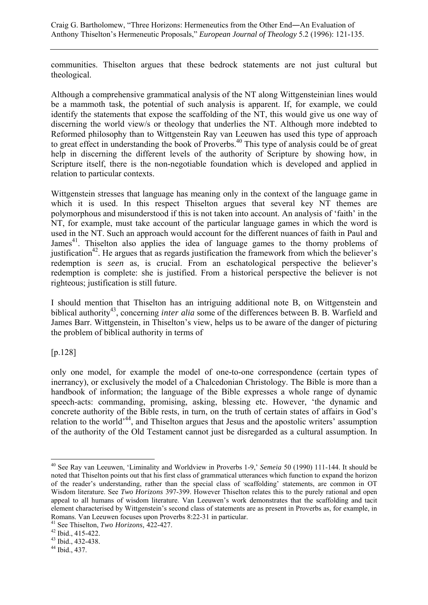Craig G. Bartholomew, "Three Horizons: Hermeneutics from the Other End―An Evaluation of Anthony Thiselton's Hermeneutic Proposals," *European Journal of Theology* 5.2 (1996): 121-135.

communities. Thiselton argues that these bedrock statements are not just cultural but theological.

Although a comprehensive grammatical analysis of the NT along Wittgensteinian lines would be a mammoth task, the potential of such analysis is apparent. If, for example, we could identify the statements that expose the scaffolding of the NT, this would give us one way of discerning the world view/s or theology that underlies the NT. Although more indebted to Reformed philosophy than to Wittgenstein Ray van Leeuwen has used this type of approach to great effect in understanding the book of Proverbs.<sup>40</sup> This type of analysis could be of great help in discerning the different levels of the authority of Scripture by showing how, in Scripture itself, there is the non-negotiable foundation which is developed and applied in relation to particular contexts.

Wittgenstein stresses that language has meaning only in the context of the language game in which it is used. In this respect Thiselton argues that several key NT themes are polymorphous and misunderstood if this is not taken into account. An analysis of 'faith' in the NT, for example, must take account of the particular language games in which the word is used in the NT. Such an approach would account for the different nuances of faith in Paul and James<sup>41</sup>. Thiselton also applies the idea of language games to the thorny problems of justification<sup>42</sup>. He argues that as regards justification the framework from which the believer's redemption is *seen* as, is crucial. From an eschatological perspective the believer's redemption is complete: she is justified. From a historical perspective the believer is not righteous; justification is still future.

I should mention that Thiselton has an intriguing additional note B, on Wittgenstein and biblical authority<sup>43</sup>, concerning *inter alia* some of the differences between B. B. Warfield and James Barr. Wittgenstein, in Thiselton's view, helps us to be aware of the danger of picturing the problem of biblical authority in terms of

[p.128]

 $\overline{a}$ 

only one model, for example the model of one-to-one correspondence (certain types of inerrancy), or exclusively the model of a Chalcedonian Christology. The Bible is more than a handbook of information; the language of the Bible expresses a whole range of dynamic speech-acts: commanding, promising, asking, blessing etc. However, 'the dynamic and concrete authority of the Bible rests, in turn, on the truth of certain states of affairs in God's relation to the world'44, and Thiselton argues that Jesus and the apostolic writers' assumption of the authority of the Old Testament cannot just be disregarded as a cultural assumption. In

<sup>40</sup> See Ray van Leeuwen, 'Liminality and Worldview in Proverbs 1-9,' *Semeia* 50 (1990) 111-144. It should be noted that Thiselton points out that his first class of grammatical utterances which function to expand the horizon of the reader's understanding, rather than the special class of 'scaffolding' statements, are common in OT Wisdom literature. See *Two Horizons* 397-399. However Thiselton relates this to the purely rational and open appeal to all humans of wisdom literature. Van Leeuwen's work demonstrates that the scaffolding and tacit element characterised by Wittgenstein's second class of statements are as present in Proverbs as, for example, in Romans. Van Leeuwen focuses upon Proverbs 8:22-31 in particular.

<sup>41</sup> See Thiselton, *Two Horizons,* 422-427. 42 Ibid., 415-422.

<sup>43</sup> Ibid., 432-438.

<sup>44</sup> Ibid., 437.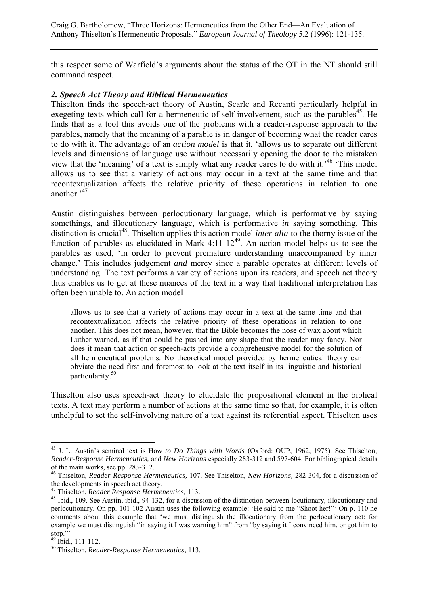this respect some of Warfield's arguments about the status of the OT in the NT should still command respect.

#### *2. Speech Act Theory and Biblical Hermeneutics*

Thiselton finds the speech-act theory of Austin, Searle and Recanti particularly helpful in exegeting texts which call for a hermeneutic of self-involvement, such as the parables<sup>45</sup>. He finds that as a tool this avoids one of the problems with a reader-response approach to the parables, namely that the meaning of a parable is in danger of becoming what the reader cares to do with it. The advantage of an *action model* is that it, 'allows us to separate out different levels and dimensions of language use without necessarily opening the door to the mistaken view that the 'meaning' of a text is simply what any reader cares to do with it.'46 'This model allows us to see that a variety of actions may occur in a text at the same time and that recontextualization affects the relative priority of these operations in relation to one another<sup>347</sup>

Austin distinguishes between perlocutionary language, which is performative by saying somethings, and illocutionary language, which is performative *in* saying something. This distinction is crucial<sup>48</sup>. Thiselton applies this action model *inter alia* to the thorny issue of the function of parables as elucidated in Mark 4:11-12<sup>49</sup>. An action model helps us to see the parables as used, 'in order to prevent premature understanding unaccompanied by inner change.' This includes judgement *and* mercy since a parable operates at different levels of understanding. The text performs a variety of actions upon its readers, and speech act theory thus enables us to get at these nuances of the text in a way that traditional interpretation has often been unable to. An action model

allows us to see that a variety of actions may occur in a text at the same time and that recontextualization affects the relative priority of these operations in relation to one another. This does not mean, however, that the Bible becomes the nose of wax about which Luther warned, as if that could be pushed into any shape that the reader may fancy. Nor does it mean that action or speech-acts provide a comprehensive model for the solution of all hermeneutical problems. No theoretical model provided by hermeneutical theory can obviate the need first and foremost to look at the text itself in its linguistic and historical particularity.50

Thiselton also uses speech-act theory to elucidate the propositional element in the biblical texts. A text may perform a number of actions at the same time so that, for example, it is often unhelpful to set the self-involving nature of a text against its referential aspect. Thiselton uses

 $\overline{a}$ 45 J. L. Austin's seminal text is How *to Do Things with Words* (Oxford: OUP, 1962, 1975). See Thiselton, *Reader-Response Hermeneutics,* and *New Horizons* especially 283-312 and 597-604. For bibliograpical details of the main works, see pp. 283-312.

<sup>46</sup> Thiselton, *Reader-Response Hermeneutics,* 107. See Thiselton, *New Horizons,* 282-304, for a discussion of the developments in speech act theory.<br><sup>47</sup> Thiselton, *Reader Response Hermeneutics*, 113.

<sup>&</sup>lt;sup>48</sup> Ibid., 109. See Austin, ibid., 94-132, for a discussion of the distinction between locutionary, illocutionary and perlocutionary. On pp. 101-102 Austin uses the following example: 'He said to me "Shoot her!"' On p. 110 he comments about this example that 'we must distinguish the illocutionary from the perlocutionary act: for example we must distinguish "in saying it I was warning him" from "by saying it I convinced him, or got him to stop."'

<sup>49</sup> Ibid., 111-112.

<sup>50</sup> Thiselton, *Reader-Response Hermeneutics,* 113.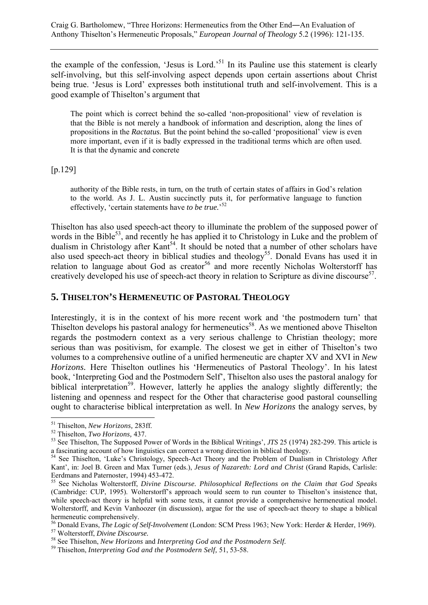the example of the confession, 'Jesus is Lord.'51 In its Pauline use this statement is clearly self-involving, but this self-involving aspect depends upon certain assertions about Christ being true. 'Jesus is Lord' expresses both institutional truth and self-involvement. This is a good example of Thiselton's argument that

The point which is correct behind the so-called 'non-propositional' view of revelation is that the Bible is not merely a handbook of information and description, along the lines of propositions in the *Ractatus.* But the point behind the so-called 'propositional' view is even more important, even if it is badly expressed in the traditional terms which are often used. It is that the dynamic and concrete

[p.129]

authority of the Bible rests, in turn, on the truth of certain states of affairs in God's relation to the world. As J. L. Austin succinctly puts it, for performative language to function effectively, 'certain statements have *to be true.*' 52

Thiselton has also used speech-act theory to illuminate the problem of the supposed power of words in the Bible<sup>53</sup>, and recently he has applied it to Christology in Luke and the problem of dualism in Christology after Kant<sup>54</sup>. It should be noted that a number of other scholars have also used speech-act theory in biblical studies and theology<sup>55</sup>. Donald Evans has used it in relation to language about God as creator<sup>56</sup> and more recently Nicholas Wolterstorff has creatively developed his use of speech-act theory in relation to Scripture as divine discourse<sup>57</sup>.

# **5. THISELTON'S HERMENEUTIC OF PASTORAL THEOLOGY**

Interestingly, it is in the context of his more recent work and 'the postmodern turn' that Thiselton develops his pastoral analogy for hermeneutics<sup>58</sup>. As we mentioned above Thiselton regards the postmodern context as a very serious challenge to Christian theology; more serious than was positivism, for example. The closest we get in either of Thiselton's two volumes to a comprehensive outline of a unified hermeneutic are chapter XV and XVI in *New Horizons.* Here Thiselton outlines his 'Hermeneutics of Pastoral Theology'. In his latest book, 'Interpreting God and the Postmodern Self', Thiselton also uses the pastoral analogy for biblical interpretation<sup>59</sup>. However, latterly he applies the analogy slightly differently; the listening and openness and respect for the Other that characterise good pastoral counselling ought to characterise biblical interpretation as well. In *New Horizons* the analogy serves, by

<sup>&</sup>lt;sup>51</sup> Thiselton, *New Horizons*, 283ff.<br><sup>52</sup> Thiselton, *Two Horizons*, 437.<br><sup>53</sup> See Thiselton, The Supposed Power of Words in the Biblical Writings', *JTS* 25 (1974) 282-299. This article is<br>a fascinating account of how l

<sup>&</sup>lt;sup>54</sup> See Thiselton, 'Luke's Christology, Speech-Act Theory and the Problem of Dualism in Christology After Kant', in: Joel B. Green and Max Turner (eds.), *Jesus of Nazareth: Lord and Christ* (Grand Rapids, Carlisle: Eerdmans and Paternoster, 1994) 453-472.

<sup>55</sup> See Nicholas Wolterstorff, *Divine Discourse. Philosophical Reflections on the Claim that God Speaks*  (Cambridge: CUP, 1995). Wolterstorff's approach would seem to run counter to Thiselton's insistence that, while speech-act theory is helpful with some texts, it cannot provide a comprehensive hermeneutical model. Wolterstorff, and Kevin Vanhoozer (in discussion), argue for the use of speech-act theory to shape a biblical hermeneutic comprehensively.

<sup>&</sup>lt;sup>56</sup> Donald Evans, *The Logic of Self-Involvement* (London: SCM Press 1963; New York: Herder & Herder, 1969).<br><sup>57</sup> Wolterstorff, *Divine Discourse*.<br><sup>58</sup> See Thiselton, *New Horizons* and *Interpreting God and the Postmod*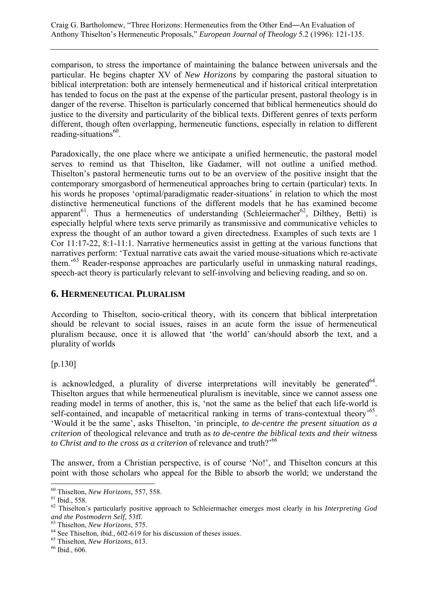comparison, to stress the importance of maintaining the balance between universals and the particular. He begins chapter XV of *New Horizons* by comparing the pastoral situation to biblical interpretation: both are intensely hermeneutical and if historical critical interpretation has tended to focus on the past at the expense of the particular present, pastoral theology is in danger of the reverse. Thiselton is particularly concerned that biblical hermeneutics should do justice to the diversity and particularity of the biblical texts. Different genres of texts perform different, though often overlapping, hermeneutic functions, especially in relation to different reading-situations $60$ .

Paradoxically, the one place where we anticipate a unified hermeneutic, the pastoral model serves to remind us that Thiselton, like Gadamer, will not outline a unified method. Thiselton's pastoral hermeneutic turns out to be an overview of the positive insight that the contemporary smorgasbord of hermeneutical approaches bring to certain (particular) texts. In his words he proposes 'optimal/paradigmatic reader-situations' in relation to which the most distinctive hermeneutical functions of the different models that he has examined become apparent<sup>61</sup>. Thus a hermeneutics of understanding (Schleiermacher<sup>62</sup>, Dilthey, Betti) is especially helpful where texts serve primarily as transmissive and communicative vehicles to express the thought of an author toward a given directedness. Examples of such texts are 1 Cor 11:17-22, 8:1-11:1. Narrative hermeneutics assist in getting at the various functions that narratives perform: 'Textual narrative cats await the varied mouse-situations which re-activate them.'63 Reader-response approaches are particularly useful in unmasking natural readings, speech-act theory is particularly relevant to self-involving and believing reading, and so on.

## **6. HERMENEUTICAL PLURALISM**

According to Thiselton, socio-critical theory, with its concern that biblical interpretation should be relevant to social issues, raises in an acute form the issue of hermeneutical pluralism because, once it is allowed that 'the world' can/should absorb the text, and a plurality of worlds

[p.130]

is acknowledged, a plurality of diverse interpretations will inevitably be generated  $64$ . Thiselton argues that while hermeneutical pluralism is inevitable, since we cannot assess one reading model in terms of another, this is, 'not the same as the belief that each life-world is self-contained, and incapable of metacritical ranking in terms of trans-contextual theory<sup>165</sup>. 'Would it be the same', asks Thiselton, 'in principle, *to de-centre the present situation as a criterion* of theological relevance and truth as *to de-centre the biblical texts and their witness to Christ and to the cross as a criterion* of relevance and truth?<sup>'66</sup>

The answer, from a Christian perspective, is of course 'No!', and Thiselton concurs at this point with those scholars who appeal for the Bible to absorb the world; we understand the

<sup>60</sup> Thiselton, *New Horizons,* 557, 558. 61 Ibid., 558.

<sup>62</sup> Thiselton's particularly positive approach to Schleiermacher emerges most clearly in his *Interpreting God and the Postmodern Self, 53ff.* <sup>63</sup> Thiselton, *New Horizons, 575.* <sup>64</sup> See Thiselton, ibid., 602-619 for his discussion of theses issues.

<sup>65</sup> Thiselton, *New Horizons,* 613. 66 Ibid., 606.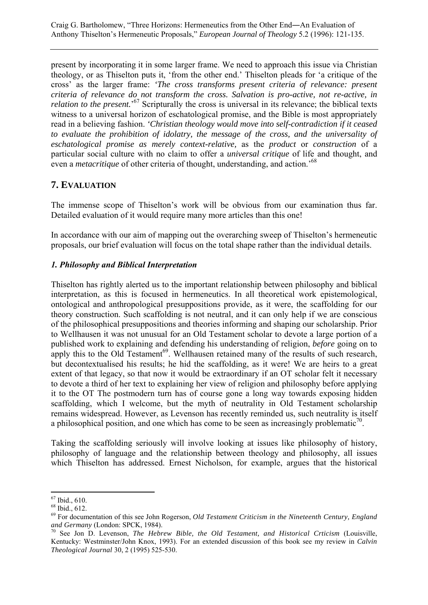present by incorporating it in some larger frame. We need to approach this issue via Christian theology, or as Thiselton puts it, 'from the other end.' Thiselton pleads for 'a critique of the cross' as the larger frame: *'The cross transforms present criteria of relevance: present criteria of relevance do not transform the cross. Salvation is pro-active, not re-active, in*  relation to the present.<sup>57</sup> Scripturally the cross is universal in its relevance; the biblical texts witness to a universal horizon of eschatological promise, and the Bible is most appropriately read in a believing fashion. *'Christian theology would move into self-contradiction if it ceased to evaluate the prohibition of idolatry, the message of the cross, and the universality of eschatological promise as merely context-relative,* as the *product* or *construction* of a particular social culture with no claim to offer a *universal critique* of life and thought, and even a *metacritique* of other criteria of thought, understanding, and action.'68

# **7. EVALUATION**

The immense scope of Thiselton's work will be obvious from our examination thus far. Detailed evaluation of it would require many more articles than this one!

In accordance with our aim of mapping out the overarching sweep of Thiselton's hermeneutic proposals, our brief evaluation will focus on the total shape rather than the individual details.

## *1. Philosophy and Biblical Interpretation*

Thiselton has rightly alerted us to the important relationship between philosophy and biblical interpretation, as this is focused in hermeneutics. In all theoretical work epistemological, ontological and anthropological presuppositions provide, as it were, the scaffolding for our theory construction. Such scaffolding is not neutral, and it can only help if we are conscious of the philosophical presuppositions and theories informing and shaping our scholarship. Prior to Wellhausen it was not unusual for an Old Testament scholar to devote a large portion of a published work to explaining and defending his understanding of religion, *before* going on to apply this to the Old Testament<sup>69</sup>. Wellhausen retained many of the results of such research, but decontextualised his results; he hid the scaffolding, as it were! We are heirs to a great extent of that legacy, so that now it would be extraordinary if an OT scholar felt it necessary to devote a third of her text to explaining her view of religion and philosophy before applying it to the OT The postmodern turn has of course gone a long way towards exposing hidden scaffolding, which I welcome, but the myth of neutrality in Old Testament scholarship remains widespread. However, as Levenson has recently reminded us, such neutrality is itself a philosophical position, and one which has come to be seen as increasingly problematic<sup>70</sup>.

Taking the scaffolding seriously will involve looking at issues like philosophy of history, philosophy of language and the relationship between theology and philosophy, all issues which Thiselton has addressed. Ernest Nicholson, for example, argues that the historical

 $67$  Ibid., 610.

<sup>68</sup> Ibid., 612.

<sup>69</sup> For documentation of this see John Rogerson, *Old Testament Criticism in the Nineteenth Century, England* 

<sup>&</sup>lt;sup>70</sup> See Jon D. Levenson, *The Hebrew Bible, the Old Testament, and Historical Crticism (Louisville,* Kentucky: Westminster/John Knox, 1993). For an extended discussion of this book see my review in *Calvin Theological Journal* 30, 2 (1995) 525-530.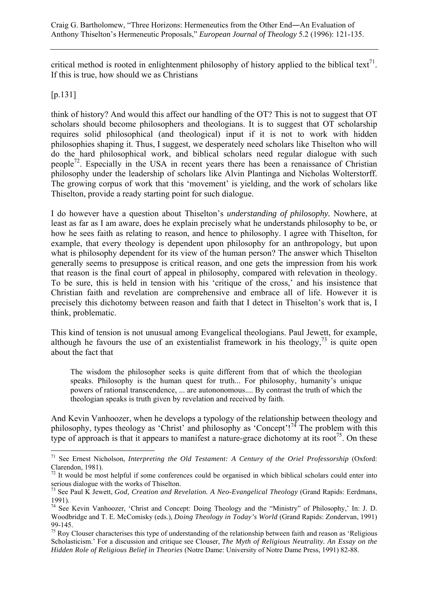critical method is rooted in enlightenment philosophy of history applied to the biblical text<sup>71</sup>. If this is true, how should we as Christians

## [p.131]

think of history? And would this affect our handling of the OT? This is not to suggest that OT scholars should become philosophers and theologians. It is to suggest that OT scholarship requires solid philosophical (and theological) input if it is not to work with hidden philosophies shaping it. Thus, I suggest, we desperately need scholars like Thiselton who will do the hard philosophical work, and biblical scholars need regular dialogue with such people<sup>72</sup>. Especially in the USA in recent years there has been a renaissance of Christian philosophy under the leadership of scholars like Alvin Plantinga and Nicholas Wolterstorff. The growing corpus of work that this 'movement' is yielding, and the work of scholars like Thiselton, provide a ready starting point for such dialogue.

I do however have a question about Thiselton's *understanding of philosophy.* Nowhere, at least as far as I am aware, does he explain precisely what he understands philosophy to be, or how he sees faith as relating to reason, and hence to philosophy. I agree with Thiselton, for example, that every theology is dependent upon philosophy for an anthropology, but upon what is philosophy dependent for its view of the human person? The answer which Thiselton generally seems to presuppose is critical reason, and one gets the impression from his work that reason is the final court of appeal in philosophy, compared with relevation in theology. To be sure, this is held in tension with his 'critique of the cross,' and his insistence that Christian faith and revelation are comprehensive and embrace all of life. However it is precisely this dichotomy between reason and faith that I detect in Thiselton's work that is, I think, problematic.

This kind of tension is not unusual among Evangelical theologians. Paul Jewett, for example, although he favours the use of an existentialist framework in his theology,  $^{73}$  is quite open about the fact that

The wisdom the philosopher seeks is quite different from that of which the theologian speaks. Philosophy is the human quest for truth... For philosophy, humanity's unique powers of rational transcendence, ... are autononomous.... By contrast the truth of which the theologian speaks is truth given by revelation and received by faith.

And Kevin Vanhoozer, when he develops a typology of the relationship between theology and philosophy, types theology as 'Christ' and philosophy as 'Concept'!<sup>74</sup> The problem with this type of approach is that it appears to manifest a nature-grace dichotomy at its root<sup>75</sup>. On these

 $\overline{a}$ <sup>71</sup> See Ernest Nicholson, *Interpreting the Old Testament: A Century of the Oriel Professorship (Oxford:* Clarendon, 1981).

<sup>&</sup>lt;sup>72</sup> It would be most helpful if some conferences could be organised in which biblical scholars could enter into serious dialogue with the works of Thiselton.

<sup>73</sup> See Paul K Jewett, *God, Creation and Revelation. A Neo-Evangelical Theology* (Grand Rapids: Eerdmans, 1991).

<sup>74</sup> See Kevin Vanhoozer, 'Christ and Concept: Doing Theology and the "Ministry" of Philosophy,' In: J. D. Woodbridge and T. E. McComisky (eds.), *Doing Theology in Today's World* (Grand Rapids: Zondervan, 1991) 99-145.

<sup>&</sup>lt;sup>75</sup> Roy Clouser characterises this type of understanding of the relationship between faith and reason as 'Religious' Scholasticism.' For a discussion and critique see Clouser, *The Myth of Religious Neutrality. An Essay on the Hidden Role of Religious Belief in Theories* (Notre Dame: University of Notre Dame Press, 1991) 82-88.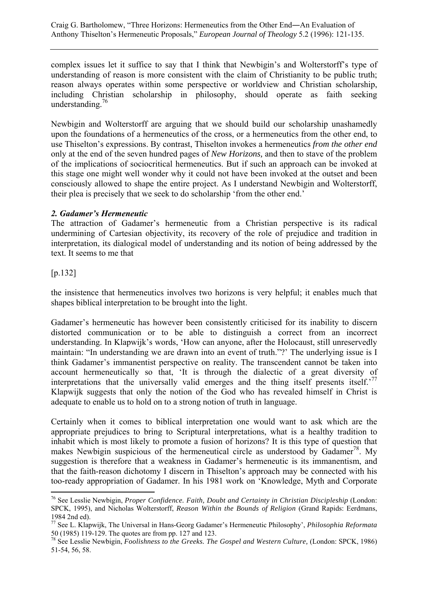complex issues let it suffice to say that I think that Newbigin's and Wolterstorff's type of understanding of reason is more consistent with the claim of Christianity to be public truth; reason always operates within some perspective or worldview and Christian scholarship, including Christian scholarship in philosophy, should operate as faith seeking understanding. $16$ 

Newbigin and Wolterstorff are arguing that we should build our scholarship unashamedly upon the foundations of a hermeneutics of the cross, or a hermeneutics from the other end, to use Thiselton's expressions. By contrast, Thiselton invokes a hermeneutics *from the other end*  only at the end of the seven hundred pages of *New Horizons,* and then to stave of the problem of the implications of sociocritical hermeneutics. But if such an approach can be invoked at this stage one might well wonder why it could not have been invoked at the outset and been consciously allowed to shape the entire project. As I understand Newbigin and Wolterstorff, their plea is precisely that we seek to do scholarship 'from the other end.'

#### *2. Gadamer's Hermeneutic*

The attraction of Gadamer's hermeneutic from a Christian perspective is its radical undermining of Cartesian objectivity, its recovery of the role of prejudice and tradition in interpretation, its dialogical model of understanding and its notion of being addressed by the text. It seems to me that

#### [p.132]

 $\overline{a}$ 

the insistence that hermeneutics involves two horizons is very helpful; it enables much that shapes biblical interpretation to be brought into the light.

Gadamer's hermeneutic has however been consistently criticised for its inability to discern distorted communication or to be able to distinguish a correct from an incorrect understanding. In Klapwijk's words, 'How can anyone, after the Holocaust, still unreservedly maintain: "In understanding we are drawn into an event of truth."?' The underlying issue is I think Gadamer's immanentist perspective on reality. The transcendent cannot be taken into account hermeneutically so that, 'It is through the dialectic of a great diversity of interpretations that the universally valid emerges and the thing itself presents itself.<sup>77</sup> Klapwijk suggests that only the notion of the God who has revealed himself in Christ is adequate to enable us to hold on to a strong notion of truth in language.

Certainly when it comes to biblical interpretation one would want to ask which are the appropriate prejudices to bring to Scriptural interpretations, what is a healthy tradition to inhabit which is most likely to promote a fusion of horizons? It is this type of question that makes Newbigin suspicious of the hermeneutical circle as understood by Gadamer<sup>78</sup>. My suggestion is therefore that a weakness in Gadamer's hermeneutic is its immanentism, and that the faith-reason dichotomy I discern in Thiselton's approach may be connected with his too-ready appropriation of Gadamer. In his 1981 work on 'Knowledge, Myth and Corporate

<sup>&</sup>lt;sup>76</sup> See Lesslie Newbigin, *Proper Confidence. Faith, Doubt and Certainty in Christian Discipleship* (London: SPCK, 1995), and Nicholas Wolterstorff, *Reason Within the Bounds of Religion* (Grand Rapids: Eerdmans, 1984 2nd ed).

<sup>77</sup> See L. Klapwijk, The Universal in Hans-Georg Gadamer's Hermeneutic Philosophy', *Philosophia Reformata*  50 (1985) 119-129. The quotes are from pp. 127 and 123.

<sup>&</sup>lt;sup>78</sup> See Lesslie Newbigin, *Foolishness to the Greeks. The Gospel and Western Culture, (London: SPCK, 1986)* 51-54, 56, 58.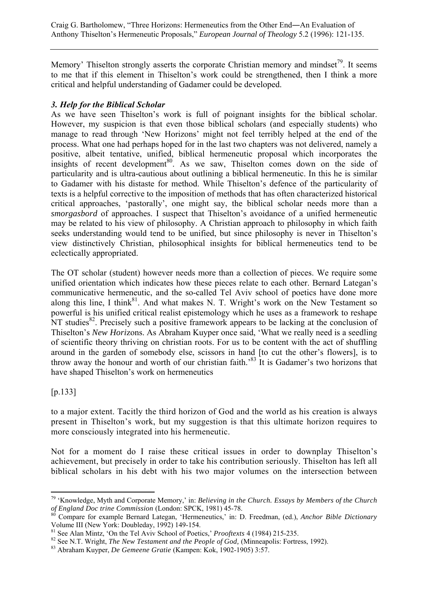Craig G. Bartholomew, "Three Horizons: Hermeneutics from the Other End―An Evaluation of Anthony Thiselton's Hermeneutic Proposals," *European Journal of Theology* 5.2 (1996): 121-135.

Memory' Thiselton strongly asserts the corporate Christian memory and mindset<sup>79</sup>. It seems to me that if this element in Thiselton's work could be strengthened, then I think a more critical and helpful understanding of Gadamer could be developed.

#### *3. Help for the Biblical Scholar*

As we have seen Thiselton's work is full of poignant insights for the biblical scholar. However, my suspicion is that even those biblical scholars (and especially students) who manage to read through 'New Horizons' might not feel terribly helped at the end of the process. What one had perhaps hoped for in the last two chapters was not delivered, namely a positive, albeit tentative, unified, biblical hermeneutic proposal which incorporates the insights of recent development<sup>80</sup>. As we saw, Thiselton comes down on the side of particularity and is ultra-cautious about outlining a biblical hermeneutic. In this he is similar to Gadamer with his distaste for method. While Thiselton's defence of the particularity of texts is a helpful corrective to the imposition of methods that has often characterized historical critical approaches, 'pastorally', one might say, the biblical scholar needs more than a *smorgasbord* of approaches. I suspect that Thiselton's avoidance of a unified hermeneutic may be related to his view of philosophy. A Christian approach to philosophy in which faith seeks understanding would tend to be unified, but since philosophy is never in Thiselton's view distinctively Christian, philosophical insights for biblical hermeneutics tend to be eclectically appropriated.

The OT scholar (student) however needs more than a collection of pieces. We require some unified orientation which indicates how these pieces relate to each other. Bernard Lategan's communicative hermeneutic, and the so-called Tel Aviv school of poetics have done more along this line, I think $81$ . And what makes N. T. Wright's work on the New Testament so powerful is his unified critical realist epistemology which he uses as a framework to reshape NT studies<sup>82</sup>. Precisely such a positive framework appears to be lacking at the conclusion of Thiselton's *New Hori*zons. As Abraham Kuyper once said, 'What we really need is a seedling of scientific theory thriving on christian roots. For us to be content with the act of shuffling around in the garden of somebody else, scissors in hand [to cut the other's flowers], is to throw away the honour and worth of our christian faith.'83 It is Gadamer's two horizons that have shaped Thiselton's work on hermeneutics

[p.133]

 $\overline{a}$ 

to a major extent. Tacitly the third horizon of God and the world as his creation is always present in Thiselton's work, but my suggestion is that this ultimate horizon requires to more consciously integrated into his hermeneutic.

Not for a moment do I raise these critical issues in order to downplay Thiselton's achievement, but precisely in order to take his contribution seriously. Thiselton has left all biblical scholars in his debt with his two major volumes on the intersection between

<sup>79 &#</sup>x27;Knowledge, Myth and Corporate Memory,' in: *Believing in the Church. Essays by Members of the Church of England Doc trine Commission* (London: SPCK, 1981) 45-78.<br><sup>80</sup> Compare for example Bernard Lategan, 'Hermeneutics,' in: D. Freedman, (ed.), *Anchor Bible Dictionary* 

Volume III (New York: Doubleday, 1992) 149-154.<br><sup>81</sup> See Alan Mintz, 'On the Tel Aviv School of Poetics,' *Prooftexts* 4 (1984) 215-235.

<sup>&</sup>lt;sup>82</sup> See N.T. Wright, *The New Testament and the People of God*, (Minneapolis: Fortress, 1992).<br><sup>83</sup> Abraham Kuyper, *De Gemeene Gratie* (Kampen: Kok, 1902-1905) 3:57.